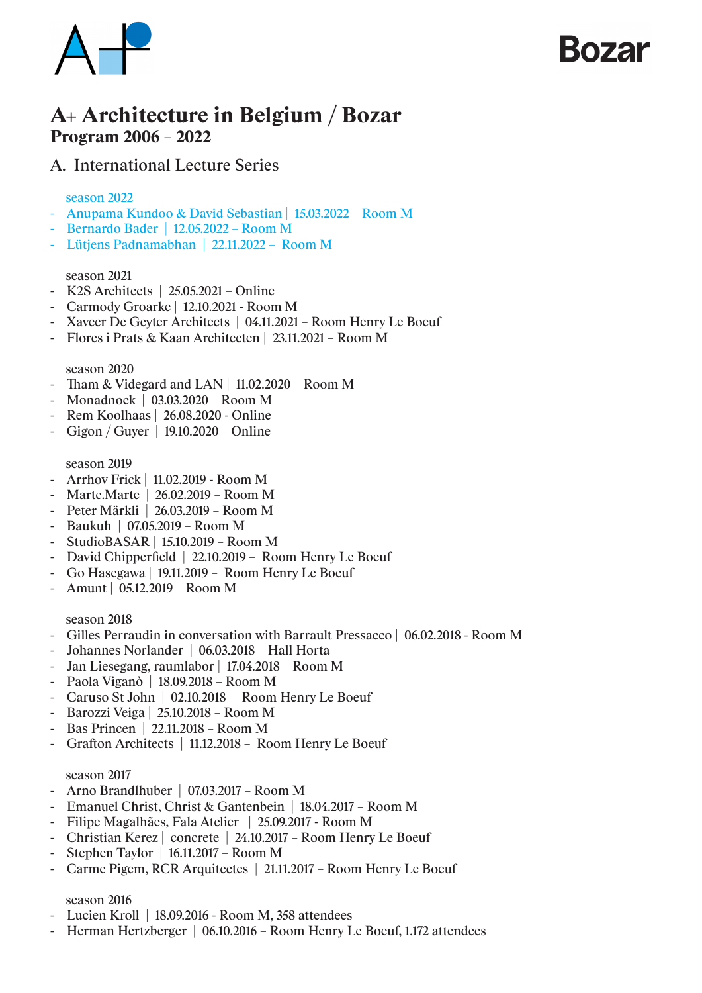

## KO72r

## A+ Architecture in Belgium / Bozar Program 2006 – 2022

## A. International Lecture Series

## season 2022

- Anupama Kundoo & David Sebastian | 15.03.2022 Room M
- Bernardo Bader | 12.05.2022 Room M
- Lütjens Padnamabhan | 22.11.2022 Room M

## season 2021

- K2S Architects | 25.05.2021 Online
- Carmody Groarke | 12.10.2021 Room M
- Xaveer De Geyter Architects | 04.11.2021 Room Henry Le Boeuf
- Flores i Prats & Kaan Architecten | 23.11.2021 Room M

## season 2020

- Tham & Videgard and LAN | 11.02.2020 Room M
- Monadnock | 03.03.2020 Room M
- Rem Koolhaas | 26.08.2020 Online
- Gigon / Guyer | 19.10.2020 Online

#### season 2019

- Arrhov Frick | 11.02.2019 Room M
- Marte.Marte | 26.02.2019 Room M
- Peter Märkli | 26.03.2019 Room M
- Baukuh | 07.05.2019 Room M
- StudioBASAR | 15.10.2019 Room M
- David Chipperfield | 22.10.2019 Room Henry Le Boeuf
- Go Hasegawa | 19.11.2019 Room Henry Le Boeuf
- Amunt | 05.12.2019 Room M

#### season 2018

- Gilles Perraudin in conversation with Barrault Pressacco | 06.02.2018 Room M
- Johannes Norlander | 06.03.2018 Hall Horta
- Jan Liesegang, raumlabor | 17.04.2018 Room M
- Paola Viganò | 18.09.2018 Room M
- Caruso St John | 02.10.2018 Room Henry Le Boeuf
- Barozzi Veiga | 25.10.2018 Room M
- Bas Princen | 22.11.2018 Room M
- Grafton Architects | 11.12.2018 Room Henry Le Boeuf

#### season 2017

- Arno Brandlhuber | 07.03.2017 Room M
- Emanuel Christ, Christ & Gantenbein | 18.04.2017 Room M
- Filipe Magalhães, Fala Atelier | 25.09.2017 Room M
- Christian Kerez | concrete | 24.10.2017 Room Henry Le Boeuf
- Stephen Taylor | 16.11.2017 Room M
- Carme Pigem, RCR Arquitectes | 21.11.2017 Room Henry Le Boeuf

#### season 2016

- Lucien Kroll | 18.09.2016 Room M, 358 attendees
- Herman Hertzberger | 06.10.2016 Room Henry Le Boeuf, 1.172 attendees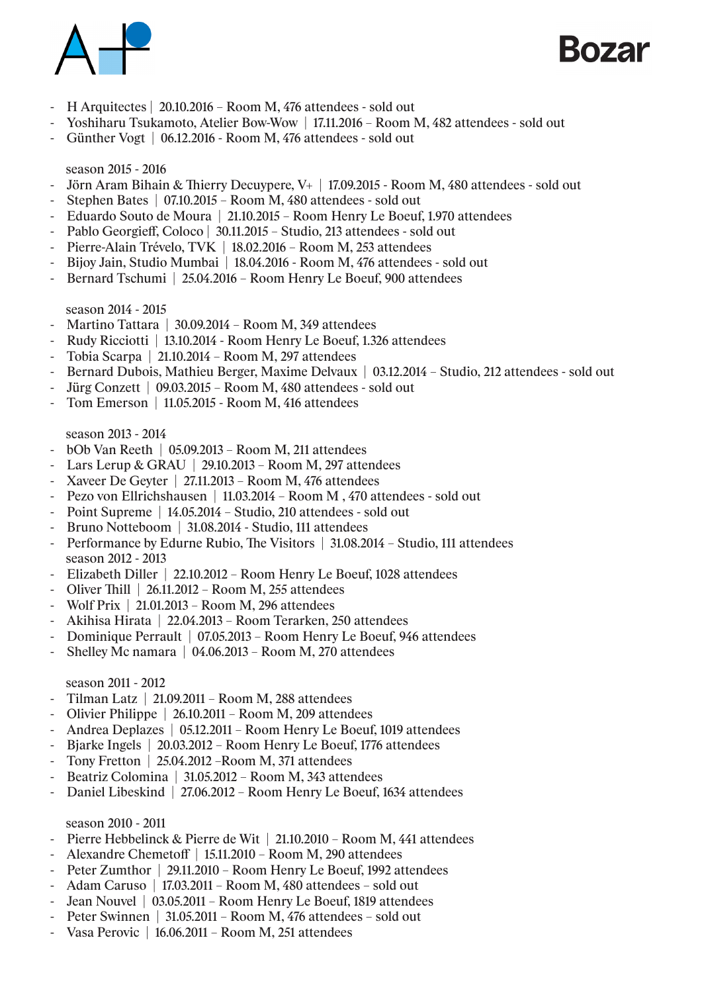



- H Arquitectes | 20.10.2016 Room M, 476 attendees sold out
- Yoshiharu Tsukamoto, Atelier Bow-Wow | 17.11.2016 Room M, 482 attendees sold out
- Günther Vogt | 06.12.2016 Room M, 476 attendees sold out

## season 2015 - 2016

- Jörn Aram Bihain & Thierry Decuypere, V+ | 17.09.2015 Room M, 480 attendees sold out
- Stephen Bates | 07.10.2015 Room M, 480 attendees sold out
- Eduardo Souto de Moura | 21.10.2015 Room Henry Le Boeuf, 1.970 attendees
- Pablo Georgieff, Coloco | 30.11.2015 Studio, 213 attendees sold out
- Pierre-Alain Trévelo, TVK | 18.02.2016 Room M, 253 attendees
- Bijoy Jain, Studio Mumbai | 18.04.2016 Room M, 476 attendees sold out
- Bernard Tschumi | 25.04.2016 Room Henry Le Boeuf, 900 attendees

## season 2014 - 2015

- Martino Tattara | 30.09.2014 Room M, 349 attendees
- Rudy Ricciotti | 13.10.2014 Room Henry Le Boeuf, 1.326 attendees
- Tobia Scarpa | 21.10.2014 Room M, 297 attendees
- Bernard Dubois, Mathieu Berger, Maxime Delvaux | 03.12.2014 Studio, 212 attendees sold out
- Jürg Conzett | 09.03.2015 Room M, 480 attendees sold out
- Tom Emerson | 11.05.2015 Room M, 416 attendees

## season 2013 - 2014

- bOb Van Reeth | 05.09.2013 Room M, 211 attendees
- Lars Lerup & GRAU | 29.10.2013 Room M, 297 attendees
- Xaveer De Geyter | 27.11.2013 Room M, 476 attendees
- Pezo von Ellrichshausen | 11.03.2014 Room M, 470 attendees sold out
- Point Supreme | 14.05.2014 Studio, 210 attendees sold out
- Bruno Notteboom | 31.08.2014 Studio, 111 attendees
- Performance by Edurne Rubio, The Visitors | 31.08.2014 Studio, 111 attendees season 2012 - 2013
- Elizabeth Diller | 22.10.2012 Room Henry Le Boeuf, 1028 attendees
- Oliver Thill | 26.11.2012 Room M, 255 attendees
- Wolf Prix | 21.01.2013 Room M, 296 attendees
- Akihisa Hirata | 22.04.2013 Room Terarken, 250 attendees
- Dominique Perrault | 07.05.2013 Room Henry Le Boeuf, 946 attendees
- Shelley Mc namara  $\vert$  04.06.2013 Room M, 270 attendees

## season 2011 - 2012

- Tilman Latz | 21.09.2011 Room M, 288 attendees
- Olivier Philippe | 26.10.2011 Room M, 209 attendees
- Andrea Deplazes | 05.12.2011 Room Henry Le Boeuf, 1019 attendees
- Bjarke Ingels | 20.03.2012 Room Henry Le Boeuf, 1776 attendees
- Tony Fretton | 25.04.2012 –Room M, 371 attendees
- Beatriz Colomina | 31.05.2012 Room M, 343 attendees
- Daniel Libeskind | 27.06.2012 Room Henry Le Boeuf, 1634 attendees

## season 2010 - 2011

- Pierre Hebbelinck & Pierre de Wit | 21.10.2010 Room M, 441 attendees
- Alexandre Chemetoff | 15.11.2010 Room M, 290 attendees
- Peter Zumthor | 29.11.2010 Room Henry Le Boeuf, 1992 attendees
- Adam Caruso | 17.03.2011 Room M, 480 attendees sold out
- Jean Nouvel | 03.05.2011 Room Henry Le Boeuf, 1819 attendees
- Peter Swinnen | 31.05.2011 Room M, 476 attendees sold out
- Vasa Perovic | 16.06.2011 Room M, 251 attendees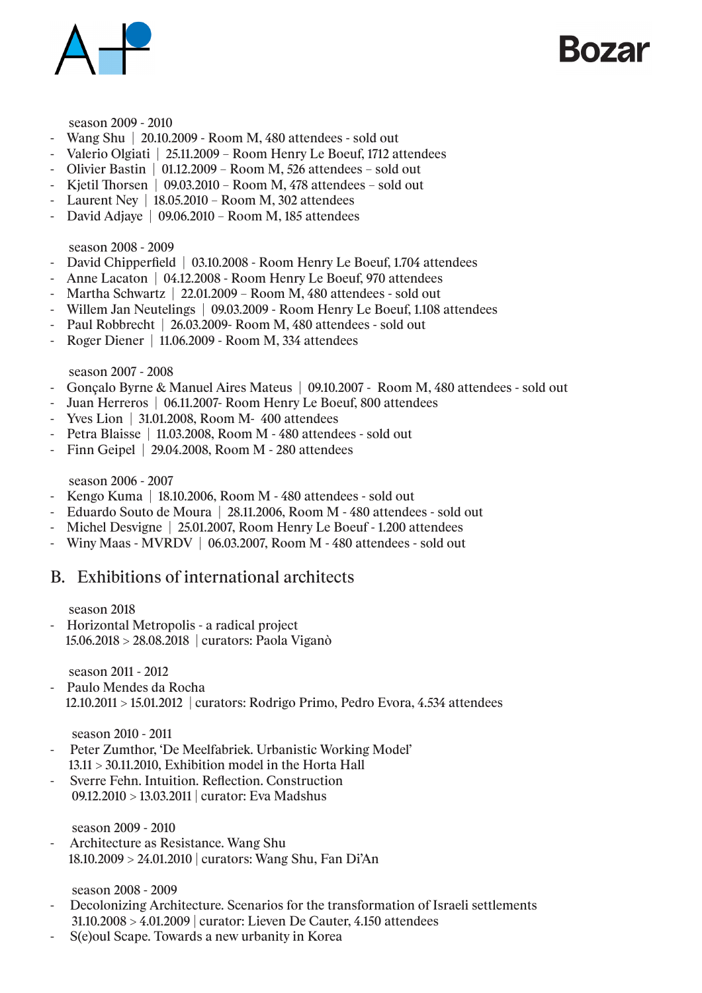

Kozar

#### season 2009 - 2010

- Wang Shu | 20.10.2009 Room M, 480 attendees sold out
- Valerio Olgiati | 25.11.2009 Room Henry Le Boeuf, 1712 attendees
- Olivier Bastin | 01.12.2009 Room M, 526 attendees sold out
- Kjetil Thorsen | 09.03.2010 Room M, 478 attendees sold out
- Laurent Ney | 18.05.2010 Room M, 302 attendees
- David Adjaye | 09.06.2010 Room M, 185 attendees

## season 2008 - 2009

- David Chipperfield | 03.10.2008 Room Henry Le Boeuf, 1.704 attendees
- Anne Lacaton | 04.12.2008 Room Henry Le Boeuf, 970 attendees
- Martha Schwartz | 22.01.2009 Room M, 480 attendees sold out
- Willem Jan Neutelings | 09.03.2009 Room Henry Le Boeuf, 1.108 attendees
- Paul Robbrecht | 26.03.2009 Room M, 480 attendees sold out
- Roger Diener | 11.06.2009 Room M, 334 attendees

## season 2007 - 2008

- Gonçalo Byrne & Manuel Aires Mateus | 09.10.2007 Room M, 480 attendees sold out
- Juan Herreros | 06.11.2007- Room Henry Le Boeuf, 800 attendees
- Yves Lion | 31.01.2008, Room M- 400 attendees
- Petra Blaisse | 11.03.2008, Room M 480 attendees sold out
- Finn Geipel | 29.04.2008, Room M 280 attendees

## season 2006 - 2007

- Kengo Kuma | 18.10.2006, Room M 480 attendees sold out
- Eduardo Souto de Moura | 28.11.2006, Room M 480 attendees sold out
- Michel Desvigne | 25.01.2007, Room Henry Le Boeuf 1.200 attendees
- Winy Maas MVRDV | 06.03.2007, Room M 480 attendees sold out

## B. Exhibitions of international architects

#### season 2018

- Horizontal Metropolis - a radical project 15.06.2018 > 28.08.2018 | curators: Paola Viganò

season 2011 - 2012

- Paulo Mendes da Rocha 12.10.2011 > 15.01.2012 | curators: Rodrigo Primo, Pedro Evora, 4.534 attendees

#### season 2010 - 2011

- Peter Zumthor, 'De Meelfabriek. Urbanistic Working Model'  $13.11 > 30.11.2010$ , Exhibition model in the Horta Hall
- Sverre Fehn. Intuition. Reflection. Construction 09.12.2010 > 13.03.2011 | curator: Eva Madshus

season 2009 - 2010

- Architecture as Resistance. Wang Shu 18.10.2009 > 24.01.2010 | curators: Wang Shu, Fan Di'An

season 2008 - 2009

- Decolonizing Architecture. Scenarios for the transformation of Israeli settlements 31.10.2008 > 4.01.2009 | curator: Lieven De Cauter, 4.150 attendees
- S(e)oul Scape. Towards a new urbanity in Korea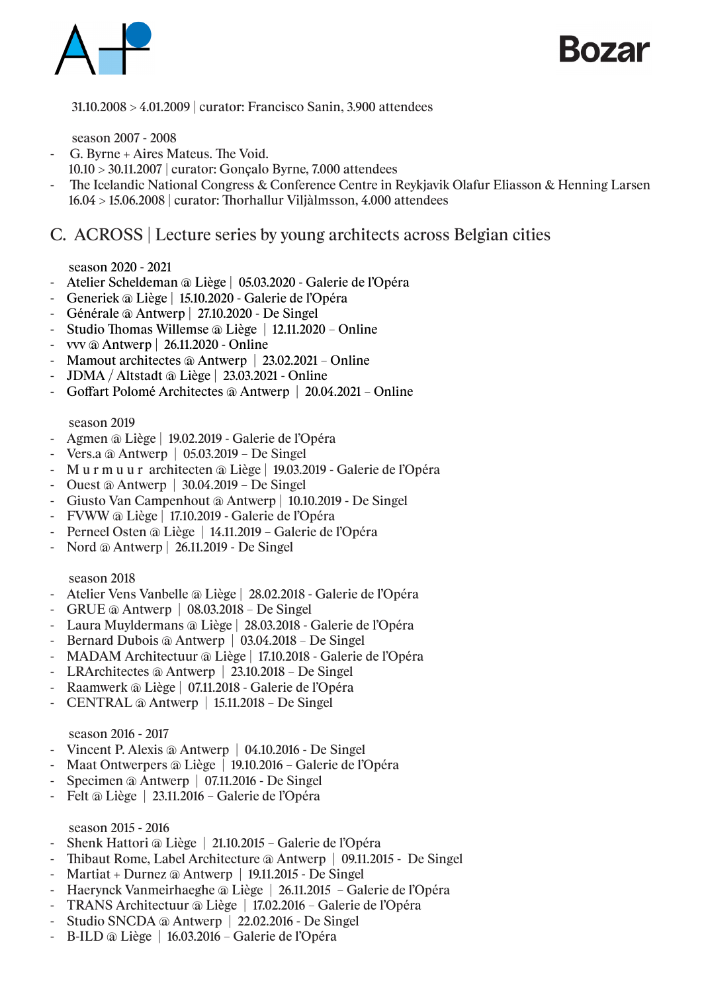

Rozar

31.10.2008 > 4.01.2009 | curator: Francisco Sanin, 3.900 attendees

season 2007 - 2008

- G. Byrne + Aires Mateus. The Void.
	- 10.10 > 30.11.2007 | curator: Gonçalo Byrne, 7.000 attendees
- The Icelandic National Congress & Conference Centre in Reykjavik Olafur Eliasson & Henning Larsen 16.04 > 15.06.2008 | curator: Thorhallur Viljàlmsson, 4.000 attendees

## C. ACROSS | Lecture series by young architects across Belgian cities

## season 2020 - 2021

- Atelier Scheldeman @ Liège | 05.03.2020 Galerie de l'Opéra
- Generiek @ Liège | 15.10.2020 Galerie de l'Opéra
- Générale @ Antwerp | 27.10.2020 De Singel
- Studio Thomas Willemse @ Liège | 12.11.2020 Online
- vvv @ Antwerp | 26.11.2020 Online
- Mamout architectes @ Antwerp | 23.02.2021 Online
- JDMA / Altstadt @ Liège | 23.03.2021 Online
- Goffart Polomé Architectes @ Antwerp | 20.04.2021 Online

## season 2019

- Agmen @ Liège | 19.02.2019 Galerie de l'Opéra
- Vers.a @ Antwerp | 05.03.2019 De Singel
- M u r m u u r architecten @ Liège | 19.03.2019 Galerie de l'Opéra
- Ouest @ Antwerp | 30.04.2019 De Singel
- Giusto Van Campenhout @ Antwerp | 10.10.2019 De Singel
- FVWW @ Liège | 17.10.2019 Galerie de l'Opéra
- Perneel Osten @ Liège | 14.11.2019 Galerie de l'Opéra
- Nord @ Antwerp | 26.11.2019 De Singel

## season 2018

- Atelier Vens Vanbelle @ Liège | 28.02.2018 Galerie de l'Opéra
- GRUE @ Antwerp | 08.03.2018 De Singel
- Laura Muyldermans @ Liège | 28.03.2018 Galerie de l'Opéra
- Bernard Dubois @ Antwerp | 03.04.2018 De Singel
- MADAM Architectuur @ Liège | 17.10.2018 Galerie de l'Opéra
- LRArchitectes @ Antwerp | 23.10.2018 De Singel
- Raamwerk @ Liège | 07.11.2018 Galerie de l'Opéra
- CENTRAL @ Antwerp | 15.11.2018 De Singel

## season 2016 - 2017

- Vincent P. Alexis @ Antwerp | 04.10.2016 De Singel
- Maat Ontwerpers @ Liège | 19.10.2016 Galerie de l'Opéra
- Specimen @ Antwerp | 07.11.2016 De Singel
- Felt @ Liège | 23.11.2016 Galerie de l'Opéra

## season 2015 - 2016

- Shenk Hattori @ Liège | 21.10.2015 Galerie de l'Opéra
- Thibaut Rome, Label Architecture @ Antwerp | 09.11.2015 De Singel
- Martiat + Durnez  $\omega$  Antwerp | 19.11.2015 De Singel
- Haerynck Vanmeirhaeghe @ Liège | 26.11.2015 Galerie de l'Opéra
- TRANS Architectuur @ Liège | 17.02.2016 Galerie de l'Opéra
- Studio SNCDA @ Antwerp | 22.02.2016 De Singel
- B-ILD @ Liège | 16.03.2016 Galerie de l'Opéra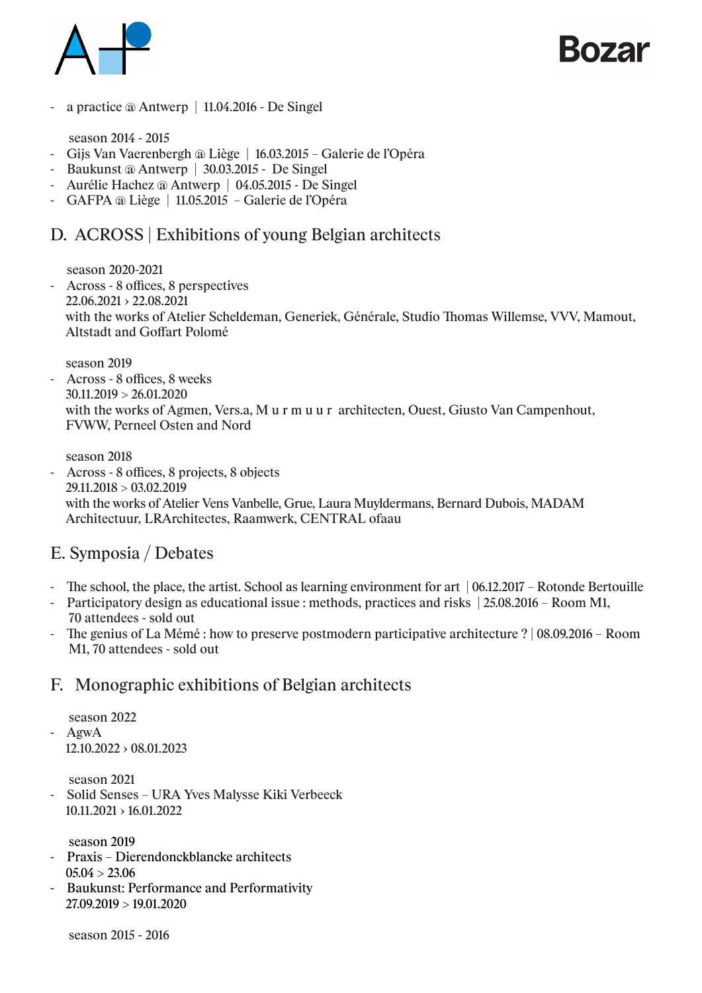



- a practice @ Antwerp | 11.04.2016 - De Singel

season 2014 - 2015

- Gijs Van Vaerenbergh @ Liège | 16.03.2015 Galerie de l'Opéra
- Baukunst @ Antwerp | 30.03.2015 De Singel
- Aurélie Hachez @ Antwerp | 04.05.2015 De Singel
- GAFPA @ Liège | 11.05.2015 Galerie de l'Opéra

## D. ACROSS | Exhibitions of young Belgian architects

season 2020-2021

- Across - 8 offices, 8 perspectives 22.06.2021 › 22.08.2021 with the works of Atelier Scheldeman, Generiek, Générale, Studio Thomas Willemse, VVV, Mamout, Altstadt and Goffart Polomé

season 2019

- Across - 8 offices, 8 weeks  $30.11.2019 > 26.01.2020$  with the works of Agmen, Vers.a, M u r m u u r architecten, Ouest, Giusto Van Campenhout, FVWW, Perneel Osten and Nord

 season 2018 - Across - 8 offices, 8 projects, 8 objects 29.11.2018 > 03.02.2019 with the works of Atelier Vens Vanbelle, Grue, Laura Muyldermans, Bernard Dubois, MADAM Architectuur, LRArchitectes, Raamwerk, CENTRAL ofaau

## E. Symposia / Debates

- The school, the place, the artist. School as learning environment for art | 06.12.2017 Rotonde Bertouille
- Participatory design as educational issue : methods, practices and risks | 25.08.2016 Room M1, 70 attendees - sold out
- The genius of La Mémé : how to preserve postmodern participative architecture ? | 08.09.2016 Room M1, 70 attendees - sold out

## F. Monographic exhibitions of Belgian architects

 season 2022 - AgwA  $12.10.2022 \rightarrow 08.01.2023$ 

season 2021

- Solid Senses – URA Yves Malysse Kiki Verbeeck 10.11.2021 › 16.01.2022

season 2019

- Praxis Dierendonckblancke architects  $05.04 > 23.06$
- Baukunst: Performance and Performativity 27.09.2019 > 19.01.2020

season 2015 - 2016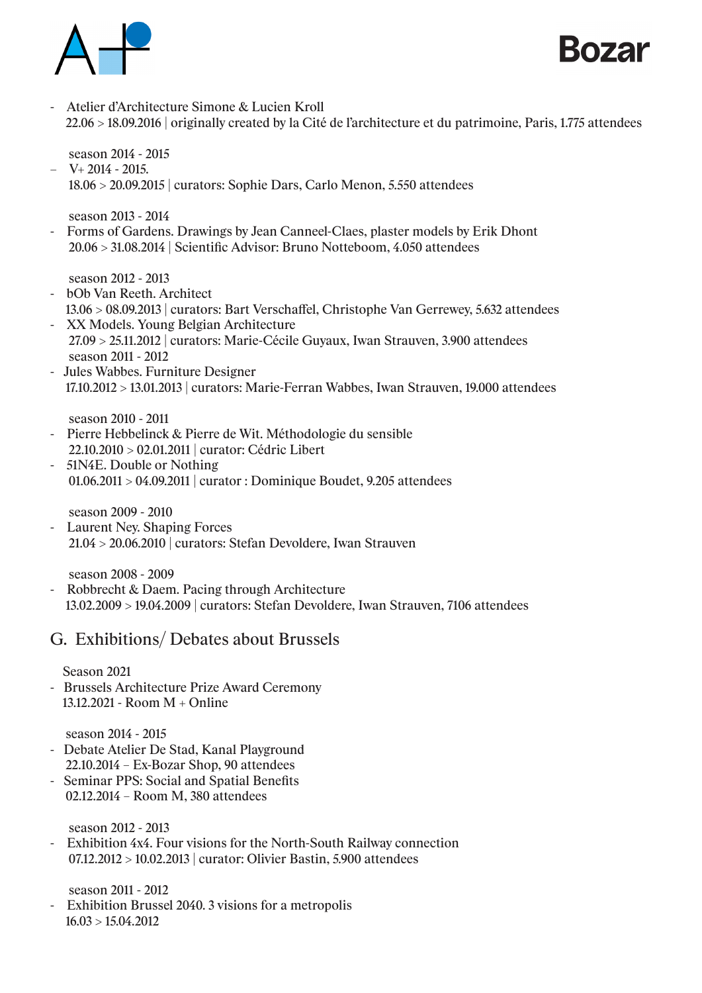



- Atelier d'Architecture Simone & Lucien Kroll 22.06 > 18.09.2016 | originally created by la Cité de l'architecture et du patrimoine, Paris, 1.775 attendees

season 2014 - 2015

 $-$  V+ 2014 - 2015. 18.06 > 20.09.2015 | curators: Sophie Dars, Carlo Menon, 5.550 attendees

season 2013 - 2014

- Forms of Gardens. Drawings by Jean Canneel-Claes, plaster models by Erik Dhont 20.06 > 31.08.2014 | Scientific Advisor: Bruno Notteboom, 4.050 attendees

season 2012 - 2013

- bOb Van Reeth. Architect
- 13.06 > 08.09.2013 | curators: Bart Verschaffel, Christophe Van Gerrewey, 5.632 attendees - XX Models. Young Belgian Architecture
- 27.09 > 25.11.2012 | curators: Marie-Cécile Guyaux, Iwan Strauven, 3.900 attendees season 2011 - 2012
- Jules Wabbes. Furniture Designer 17.10.2012 > 13.01.2013 | curators: Marie-Ferran Wabbes, Iwan Strauven, 19.000 attendees

season 2010 - 2011

- Pierre Hebbelinck & Pierre de Wit. Méthodologie du sensible 22.10.2010 > 02.01.2011 | curator: Cédric Libert
- 51N4E. Double or Nothing 01.06.2011 > 04.09.2011 | curator : Dominique Boudet, 9.205 attendees

season 2009 - 2010

- Laurent Ney. Shaping Forces 21.04 > 20.06.2010 | curators: Stefan Devoldere, Iwan Strauven

season 2008 - 2009

- Robbrecht & Daem. Pacing through Architecture 13.02.2009 > 19.04.2009 | curators: Stefan Devoldere, Iwan Strauven, 7106 attendees

## G. Exhibitions/ Debates about Brussels

Season 2021

- Brussels Architecture Prize Award Ceremony 13.12.2021 - Room M + Online

## season 2014 - 2015

- Debate Atelier De Stad, Kanal Playground 22.10.2014 – Ex-Bozar Shop, 90 attendees
- Seminar PPS: Social and Spatial Benefits 02.12.2014 – Room M, 380 attendees

season 2012 - 2013

- Exhibition 4x4. Four visions for the North-South Railway connection 07.12.2012 > 10.02.2013 | curator: Olivier Bastin, 5.900 attendees

season 2011 - 2012

- Exhibition Brussel 2040. 3 visions for a metropolis 16.03 > 15.04.2012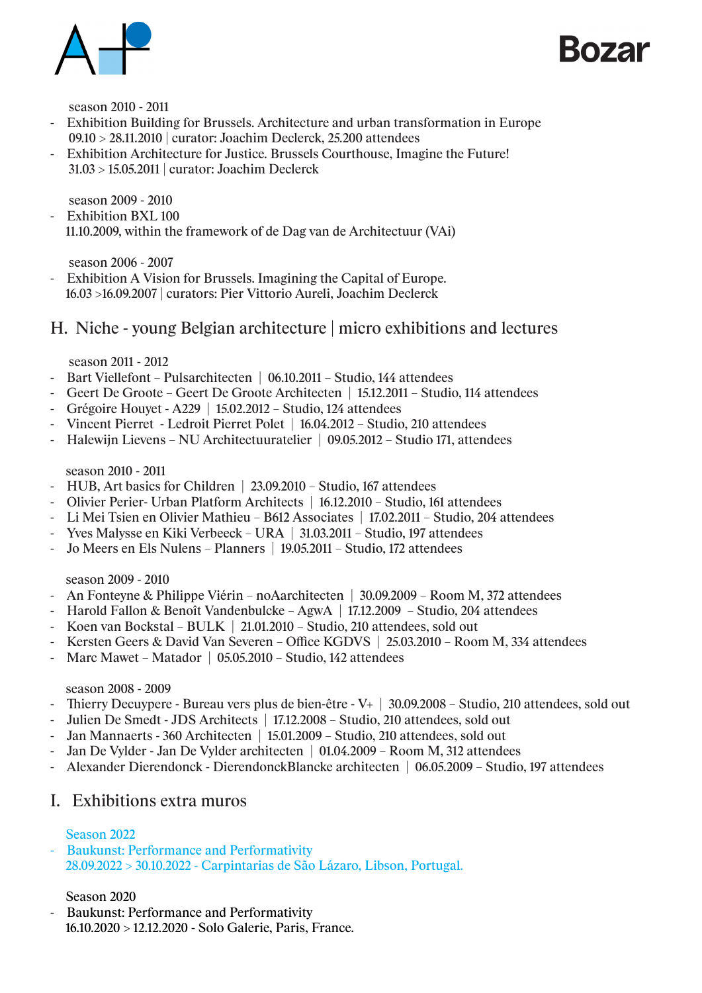



season 2010 - 2011

- Exhibition Building for Brussels. Architecture and urban transformation in Europe 09.10 > 28.11.2010 | curator: Joachim Declerck, 25.200 attendees
- Exhibition Architecture for Justice. Brussels Courthouse, Imagine the Future! 31.03 > 15.05.2011 | curator: Joachim Declerck

season 2009 - 2010

- Exhibition BXL 100 11.10.2009, within the framework of de Dag van de Architectuur (VAi)

season 2006 - 2007

- Exhibition A Vision for Brussels. Imagining the Capital of Europe. 16.03 >16.09.2007 | curators: Pier Vittorio Aureli, Joachim Declerck

## H. Niche - young Belgian architecture | micro exhibitions and lectures

season 2011 - 2012

- Bart Viellefont Pulsarchitecten | 06.10.2011 Studio, 144 attendees
- Geert De Groote Geert De Groote Architecten | 15.12.2011 Studio, 114 attendees
- Grégoire Houyet A229 | 15.02.2012 Studio, 124 attendees
- Vincent Pierret Ledroit Pierret Polet | 16.04.2012 Studio, 210 attendees
- Halewijn Lievens NU Architectuuratelier | 09.05.2012 Studio 171, attendees

## season 2010 - 2011

- HUB, Art basics for Children | 23.09.2010 Studio, 167 attendees
- Olivier Perier- Urban Platform Architects | 16.12.2010 Studio, 161 attendees
- Li Mei Tsien en Olivier Mathieu B612 Associates | 17.02.2011 Studio, 204 attendees
- Yves Malysse en Kiki Verbeeck URA | 31.03.2011 Studio, 197 attendees
- Jo Meers en Els Nulens Planners | 19.05.2011 Studio, 172 attendees

## season 2009 - 2010

- An Fonteyne & Philippe Viérin noAarchitecten | 30.09.2009 Room M, 372 attendees
- Harold Fallon & Benoît Vandenbulcke AgwA | 17.12.2009 Studio, 204 attendees
- Koen van Bockstal BULK | 21.01.2010 Studio, 210 attendees, sold out
- Kersten Geers & David Van Severen Office KGDVS | 25.03.2010 Room M, 334 attendees
- Marc Mawet Matador | 05.05.2010 Studio, 142 attendees

## season 2008 - 2009

- Thierry Decuypere Bureau vers plus de bien-être V+ | 30.09.2008 Studio, 210 attendees, sold out
- Julien De Smedt JDS Architects | 17.12.2008 Studio, 210 attendees, sold out
- Jan Mannaerts 360 Architecten | 15.01.2009 Studio, 210 attendees, sold out
- Jan De Vylder Jan De Vylder architecten | 01.04.2009 Room M, 312 attendees
- Alexander Dierendonck DierendonckBlancke architecten | 06.05.2009 Studio, 197 attendees

## I. Exhibitions extra muros

## Season 2022

- Baukunst: Performance and Performativity 28.09.2022 > 30.10.2022 - Carpintarias de São Lázaro, Libson, Portugal.

## Season 2020

Baukunst: Performance and Performativity 16.10.2020 > 12.12.2020 - Solo Galerie, Paris, France.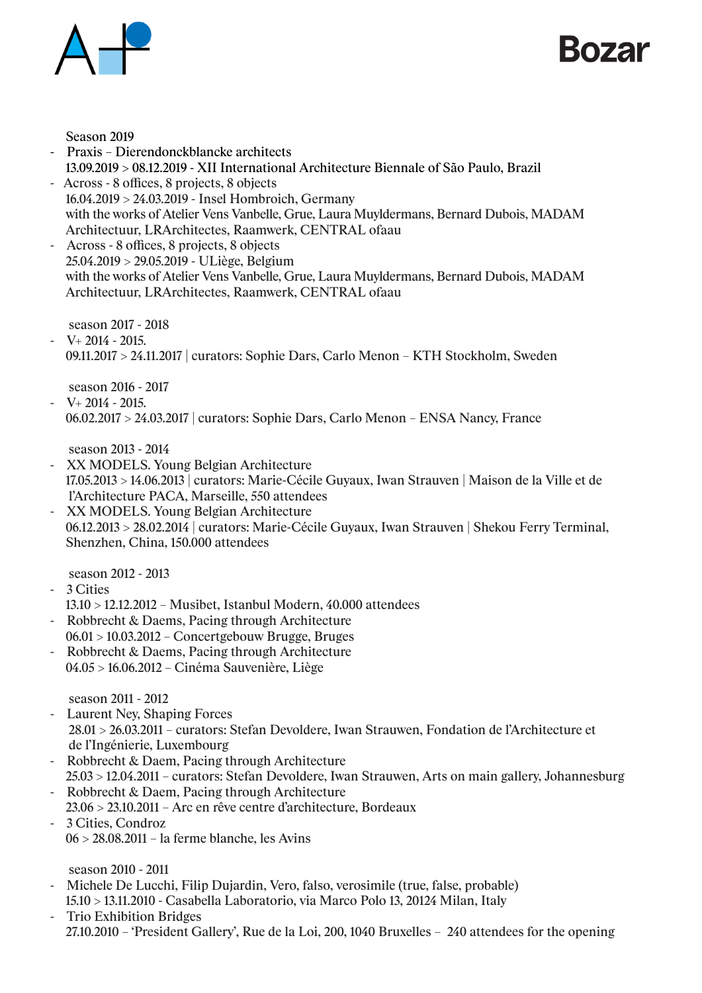



Season 2019

- Praxis Dierendonckblancke architects 13.09.2019 > 08.12.2019 - XII International Architecture Biennale of São Paulo, Brazil
- Across 8 offices, 8 projects, 8 objects 16.04.2019 > 24.03.2019 - Insel Hombroich, Germany with the works of Atelier Vens Vanbelle, Grue, Laura Muyldermans, Bernard Dubois, MADAM Architectuur, LRArchitectes, Raamwerk, CENTRAL ofaau
- Across 8 offices, 8 projects, 8 objects 25.04.2019 > 29.05.2019 - ULiège, Belgium with the works of Atelier Vens Vanbelle, Grue, Laura Muyldermans, Bernard Dubois, MADAM Architectuur, LRArchitectes, Raamwerk, CENTRAL ofaau

season 2017 - 2018

 $-V+ 2014 - 2015.$ 09.11.2017 > 24.11.2017 | curators: Sophie Dars, Carlo Menon – KTH Stockholm, Sweden

season 2016 - 2017

 $-V+ 2014 - 2015.$ 06.02.2017 > 24.03.2017 | curators: Sophie Dars, Carlo Menon – ENSA Nancy, France

season 2013 - 2014

- XX MODELS. Young Belgian Architecture 17.05.2013 > 14.06.2013 | curators: Marie-Cécile Guyaux, Iwan Strauven | Maison de la Ville et de l'Architecture PACA, Marseille, 550 attendees
- XX MODELS. Young Belgian Architecture 06.12.2013 > 28.02.2014 | curators: Marie-Cécile Guyaux, Iwan Strauven | Shekou Ferry Terminal, Shenzhen, China, 150.000 attendees

season 2012 - 2013

- 3 Cities
	- 13.10 > 12.12.2012 Musibet, Istanbul Modern, 40.000 attendees
- Robbrecht & Daems, Pacing through Architecture 06.01 > 10.03.2012 – Concertgebouw Brugge, Bruges
- Robbrecht & Daems, Pacing through Architecture 04.05 > 16.06.2012 – Cinéma Sauvenière, Liège

season 2011 - 2012

- Laurent Ney, Shaping Forces 28.01 > 26.03.2011 – curators: Stefan Devoldere, Iwan Strauwen, Fondation de l'Architecture et de l'Ingénierie, Luxembourg
- Robbrecht & Daem, Pacing through Architecture 25.03 > 12.04.2011 – curators: Stefan Devoldere, Iwan Strauwen, Arts on main gallery, Johannesburg
- Robbrecht & Daem, Pacing through Architecture
- 23.06 > 23.10.2011 Arc en rêve centre d'architecture, Bordeaux - 3 Cities, Condroz
- 06 > 28.08.2011 la ferme blanche, les Avins

season 2010 - 2011

- Michele De Lucchi, Filip Dujardin, Vero, falso, verosimile (true, false, probable) 15.10 > 13.11.2010 - Casabella Laboratorio, via Marco Polo 13, 20124 Milan, Italy
- Trio Exhibition Bridges 27.10.2010 – 'President Gallery', Rue de la Loi, 200, 1040 Bruxelles – 240 attendees for the opening